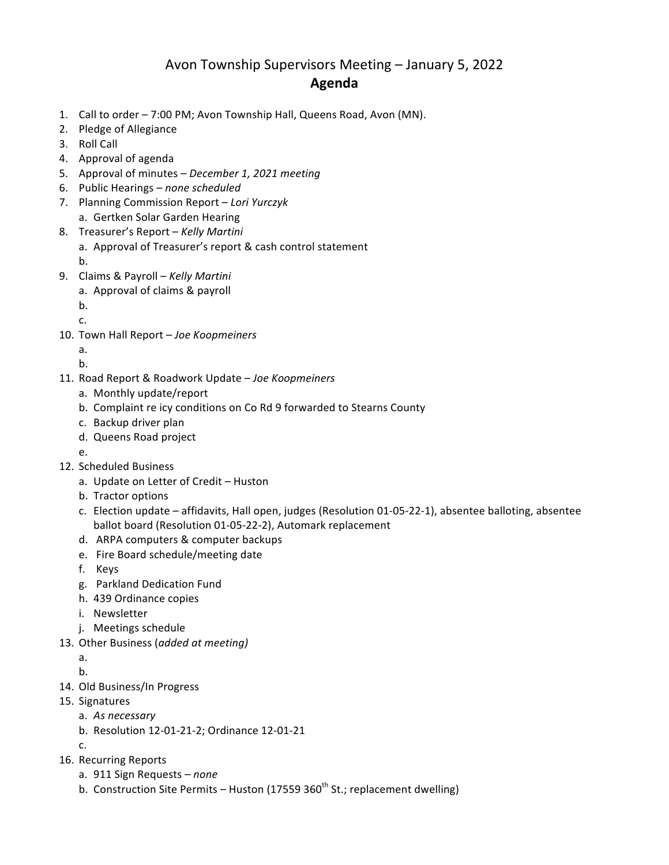## Avon Township Supervisors Meeting – January 5, 2022 **Agenda**

- 1. Call to order 7:00 PM; Avon Township Hall, Queens Road, Avon (MN).
- 2. Pledge of Allegiance
- 3. Roll Call
- 4. Approval of agenda
- 5. Approval of minutes *December 1, 2021 meeting*
- 6. Public Hearings *none* scheduled
- 7. Planning Commission Report *– Lori Yurczyk* a. Gertken Solar Garden Hearing
- 8. Treasurer's Report Kelly Martini
	- a. Approval of Treasurer's report & cash control statement

b.

- 9. Claims & Payroll *Kelly Martini*
	- a. Approval of claims & payroll
	- b.
	- c.
- 10. Town Hall Report Joe Koopmeiners
	- a.
	- b.
- 11. Road Report & Roadwork Update *Joe Koopmeiners*
	- a. Monthly update/report
	- b. Complaint re icy conditions on Co Rd 9 forwarded to Stearns County
	- c. Backup driver plan
	- d. Queens Road project
	- e.
- 12. Scheduled Business
	- a. Update on Letter of Credit Huston
	- b. Tractor options
	- c. Election update affidavits, Hall open, judges (Resolution 01-05-22-1), absentee balloting, absentee ballot board (Resolution 01-05-22-2), Automark replacement
	- d. ARPA computers & computer backups
	- e. Fire Board schedule/meeting date
	- f. Keys
	- g. Parkland Dedication Fund
	- h. 439 Ordinance copies
	- i. Newsletter
	- j. Meetings schedule
- 13. Other Business (added at meeting)
	- a.
	- b.
- 14. Old Business/In Progress
- 15. Signatures
	- a. *As necessary*
	- b. Resolution 12-01-21-2; Ordinance 12-01-21

c.

- 16. Recurring Reports
	- a. 911 Sign Requests *none*
	- b. Construction Site Permits Huston (17559  $360^{th}$  St.; replacement dwelling)